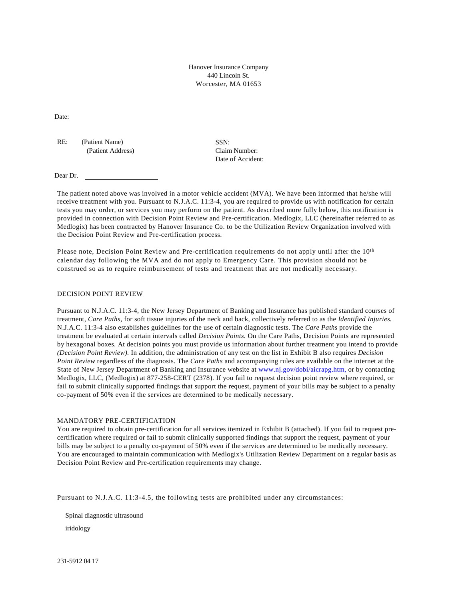Hanover Insurance Company 440 Lincoln St. Worcester, MA 01653

Date:

RE: (Patient Name) (Patient Address) SSN: Claim Number: Date of Accident:

Dear Dr.

The patient noted above was involved in a motor vehicle accident (MVA). We have been informed that he/she will receive treatment with you. Pursuant to N.J.A.C. 11:3-4, you are required to provide us with notification for certain tests you may order, or services you may perform on the patient. As described more fully below, this notification is provided in connection with Decision Point Review and Pre-certification. Medlogix, LLC (hereinafter referred to as Medlogix) has been contracted by Hanover Insurance Co. to be the Utilization Review Organization involved with the Decision Point Review and Pre-certification process.

Please note, Decision Point Review and Pre-certification requirements do not apply until after the 10<sup>th</sup> calendar day following the MVA and do not apply to Emergency Care. This provision should not be construed so as to require reimbursement of tests and treatment that are not medically necessary.

#### DECISION POINT REVIEW

Pursuant to N.J.A.C. 11:3-4, the New Jersey Department of Banking and Insurance has published standard courses of treatment, *Care Paths,* for soft tissue injuries of the neck and back, collectively referred to as the *Identified Injuries.*  N.J.A.C. 11:3-4 also establishes guidelines for the use of certain diagnostic tests. The *Care Paths* provide the treatment be evaluated at certain intervals called *Decision Points.* On the Care Paths, Decision Points are represented by hexagonal boxes. At decision points you must provide us information about further treatment you intend to provide *(Decision Point Review).* In addition, the administration of any test on the list in Exhibit B also requires *Decision Point Review* regardless of the diagnosis. The *Care Paths* and accompanying rules are available on the internet at the State of New Jersey Department of Banking and Insurance website at [www.nj.gov/dobi/aicrapg.htm,](http://www.nj.gov/dobi/aicrapg.htm,) or by contacting Medlogix, LLC, (Medlogix) at 877-258-CERT (2378). If you fail to request decision point review where required, or fail to submit clinically supported findings that support the request, payment of your bills may be subject to a penalty co-payment of 50% even if the services are determined to be medically necessary.

### MANDATORY PRE-CERTIFICATION

You are required to obtain pre-certification for all services itemized in Exhibit B (attached). If you fail to request precertification where required or fail to submit clinically supported findings that support the request, payment of your bills may be subject to a penalty co-payment of 50% even if the services are determined to be medically necessary. You are encouraged to maintain communication with Medlogix's Utilization Review Department on a regular basis as Decision Point Review and Pre-certification requirements may change.

Pursuant to N.J.A.C. 11:3-4.5, the following tests are prohibited under any circumstances:

Spinal diagnostic ultrasound

iridology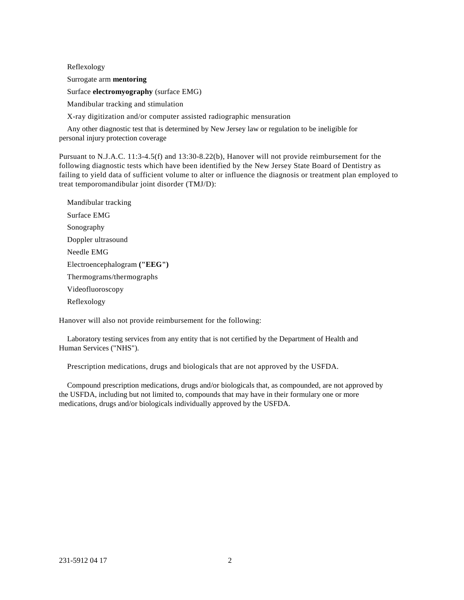Reflexology Surrogate arm **mentoring** Surface **electromyography** (surface EMG) Mandibular tracking and stimulation X-ray digitization and/or computer assisted radiographic mensuration

Any other diagnostic test that is determined by New Jersey law or regulation to be ineligible for personal injury protection coverage

Pursuant to N.J.A.C. 11:3-4.5(f) and 13:30-8.22(b), Hanover will not provide reimbursement for the following diagnostic tests which have been identified by the New Jersey State Board of Dentistry as failing to yield data of sufficient volume to alter or influence the diagnosis or treatment plan employed to treat temporomandibular joint disorder (TMJ/D):

Mandibular tracking Surface EMG Sonography Doppler ultrasound Needle EMG Electroencephalogram **("EEG")** Thermograms/thermographs Videofluoroscopy Reflexology

Hanover will also not provide reimbursement for the following:

Laboratory testing services from any entity that is not certified by the Department of Health and Human Services ("NHS").

Prescription medications, drugs and biologicals that are not approved by the USFDA.

Compound prescription medications, drugs and/or biologicals that, as compounded, are not approved by the USFDA, including but not limited to, compounds that may have in their formulary one or more medications, drugs and/or biologicals individually approved by the USFDA.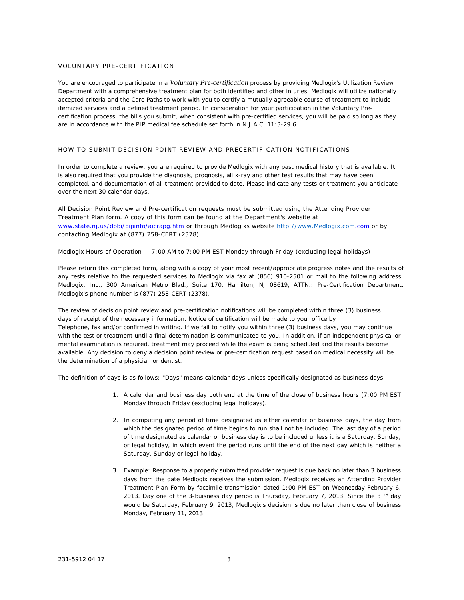#### VOLUNTARY PRE-CERTIFICATION

You are encouraged to participate in a *Voluntary Pre-certification* process by providing Medlogix's Utilization Review Department with a comprehensive treatment plan for both identified and other injuries. Medlogix will utilize nationally accepted criteria and the *Care Paths* to work with you to certify a mutually agreeable course of treatment to include itemized services and a defined treatment period. In consideration for your participation in the Voluntary Precertification process, the bills you submit, when consistent with pre-certified services, you will be paid so long as they are in accordance with the PIP medical fee schedule set forth in N.J.A.C. 11:3-29.6.

#### HOW TO SUBMIT DECISION POINT REVIEW AND PRECERTIFICATION NOTIFICATIONS

In order to complete a review, you are required to provide Medlogix with any past medical history that is available. It is also required that you provide the diagnosis, prognosis, all x-ray and other test results that may have been completed, and documentation of all treatment provided to date. Please indicate any tests or treatment you anticipate over the next 30 calendar days.

All Decision Point Review and Pre-certification requests must be submitted using the Attending Provider Treatment Plan form. A copy of this form can be found at the Department's website at [www.state.nj.us/dobi/pipinfo/aicrapg.htm](http://www.state.nj.us/dobi/pipinfo/aicrapg.htm) or through Medlogixs website [http://www.Medlogix.com.](http://www.medlogix.com/)com or by contacting Medlogix at (877) 258-CERT (2378).

Medlogix Hours of Operation — 7:00 AM to 7:00 PM EST Monday through Friday (excluding legal holidays)

Please return this completed form, along with a copy of your most recent/appropriate progress notes and the results of any tests relative to the requested services to Medlogix via fax at (856) 910-2501 or mail to the following address: Medlogix, Inc., 300 American Metro Blvd., Suite 170, Hamilton, NJ 08619, ATTN.: Pre-Certification Department. Medlogix's phone number is (877) 258-CERT (2378).

The review of decision point review and pre-certification notifications will be completed within three (3) business days of receipt of the necessary information. Notice of certification will be made to your office by Telephone, fax and/or confirmed in writing. If we fail to notify you within three (3) business days, you may continue with the test or treatment until a final determination is communicated to you. In addition, if an independent physical or mental examination is required, treatment may proceed while the exam is being scheduled and the results become available. Any decision to deny a decision point review or pre-certification request based on medical necessity will be the determination of a physician or dentist.

The definition of days is as follows: "Days" means calendar days unless specifically designated as business days.

- 1. A calendar and business day both end at the time of the close of business hours (7:00 PM EST Monday through Friday (excluding legal holidays).
- 2. In computing any period of time designated as either calendar or business days, the day from which the designated period of time begins to run shall not be included. The last day of a period of time designated as calendar or business day is to be included unless it is a Saturday, Sunday, or legal holiday, in which event the period runs until the end of the next day which is neither a Saturday, Sunday or legal holiday.
- 3. Example: Response to a properly submitted provider request is due back no later than 3 business days from the date Medlogix receives the submission. Medlogix receives an Attending Provider Treatment Plan Form by facsimile transmission dated 1:00 PM EST on Wednesday February 6, 2013. Day one of the 3-buisness day period is Thursday, February 7, 2013. Since the  $3^{1nd}$  day would be Saturday, February 9, 2013, Medlogix's decision is due no later than close of business Monday, February 11, 2013.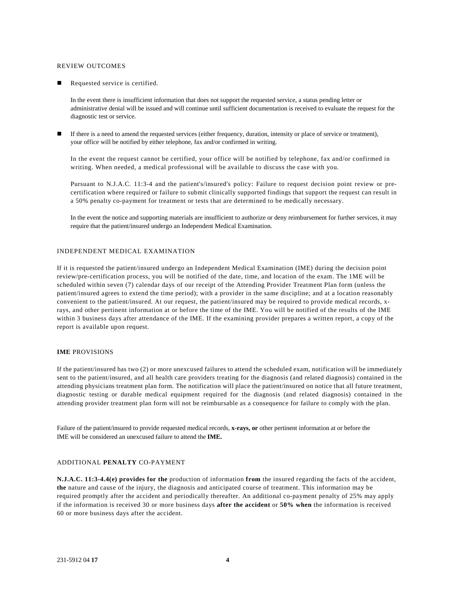#### REVIEW OUTCOMES

Requested service is certified.

In the event there is insufficient information that does not support the requested service, a status pending letter or administrative denial will be issued and will continue until sufficient documentation is received to evaluate the request for the diagnostic test or service.

If there is a need to amend the requested services (either frequency, duration, intensity or place of service or treatment), your office will be notified by either telephone, fax and/or confirmed in writing.

In the event the request cannot be certified, your office will be notified by telephone, fax and/or confirmed in writing. When needed, a medical professional will be available to discuss the case with you.

Pursuant to N.J.A.C. 11:3-4 and the patient's/insured's policy: Failure to request decision point review or precertification where required or failure to submit clinically supported findings that support the request can result in a 50% penalty co-payment for treatment or tests that are determined to be medically necessary.

In the event the notice and supporting materials are insufficient to authorize or deny reimbursement for further services, it may require that the patient/insured undergo an Independent Medical Examination.

### INDEPENDENT MEDICAL EXAMINATION

If it is requested the patient/insured undergo an Independent Medical Examination (IME) during the decision point review/pre-certification process, you will be notified of the date, time, and location of the exam. The 1ME will be scheduled within seven (7) calendar days of our receipt of the Attending Provider Treatment Plan form (unless the patient/insured agrees to extend the time period); with a provider in the same discipline; and at a location reasonably convenient to the patient/insured. At our request, the patient/insured may be required to provide medical records, xrays, and other pertinent information at or before the time of the IME. You will be notified of the results of the IME within 3 business days after attendance of the IME. If the examining provider prepares a written report, a copy of the report is available upon request.

#### **IME** PROVISIONS

If the patient/insured has two (2) or more unexcused failures to attend the scheduled exam, notification will be immediately sent to the patient/insured, and all health care providers treating for the diagnosis (and related diagnosis) contained in the attending physicians treatment plan form. The notification will place the patient/insured on notice that all future treatment, diagnostic testing or durable medical equipment required for the diagnosis (and related diagnosis) contained in the attending provider treatment plan form will not be reimbursable as a consequence for failure to comply with the plan.

Failure of the patient/insured to provide requested medical records, **x-rays, or** other pertinent information at or before the IME will be considered an unexcused failure to attend the **IME.**

#### ADDITIONAL **PENALTY** CO-PAYMENT

**N.J.A.C. 11:3-4.4(e) provides for the** production of information **from** the insured regarding the facts of the accident, **the** nature and cause of the injury, the diagnosis and anticipated course of treatment. This information may be required promptly after the accident and periodically thereafter. An additional co-payment penalty of 25% may apply if the information is received 30 or more business days **after the accident** or **50% when** the information is received 60 or more business days after the accident.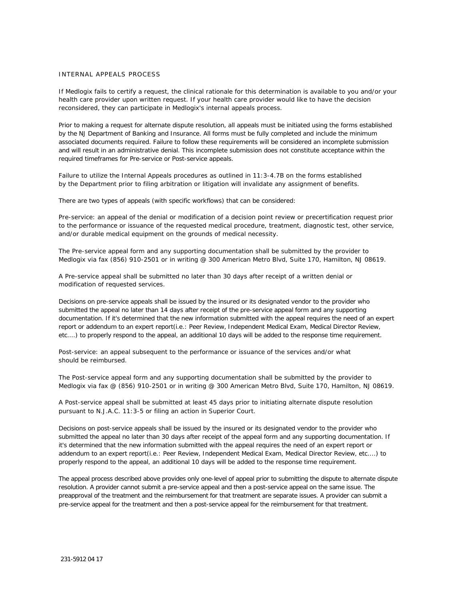### INTERNAL APPEALS PROCESS

If Medlogix fails to certify a request, the clinical rationale for this determination is available to you and/or your health care provider upon written request. If your health care provider would like to have the decision reconsidered, they can participate in Medlogix's internal appeals process.

Prior to making a request for alternate dispute resolution, all appeals must be initiated using the forms established by the NJ Department of Banking and Insurance. All forms must be fully completed and include the minimum associated documents required. Failure to follow these requirements will be considered an incomplete submission and will result in an administrative denial. This incomplete submission does not constitute acceptance within the required timeframes for Pre-service or Post-service appeals.

Failure to utilize the Internal Appeals procedures as outlined in 11:3-4.7B on the forms established by the Department prior to filing arbitration or litigation will invalidate any assignment of benefits.

There are two types of appeals (with specific workflows) that can be considered:

Pre-service: an appeal of the denial or modification of a decision point review or precertification request prior to the performance or issuance of the requested medical procedure, treatment, diagnostic test, other service, and/or durable medical equipment on the grounds of medical necessity.

The Pre-service appeal form and any supporting documentation shall be submitted by the provider to Medlogix via fax (856) 910-2501 or in writing @ 300 American Metro Blvd, Suite 170, Hamilton, NJ 08619.

A Pre-service appeal shall be submitted no later than 30 days after receipt of a written denial or modification of requested services.

Decisions on pre-service appeals shall be issued by the insured or its designated vendor to the provider who submitted the appeal no later than 14 days after receipt of the pre-service appeal form and any supporting documentation. If it's determined that the new information submitted with the appeal requires the need of an expert report or addendum to an expert report(i.e.: Peer Review, Independent Medical Exam, Medical Director Review, etc....) to properly respond to the appeal, an additional 10 days will be added to the response time requirement.

Post-service: an appeal subsequent to the performance or issuance of the services and/or what should be reimbursed.

The Post-service appeal form and any supporting documentation shall be submitted by the provider to Medlogix via fax @ (856) 910-2501 or in writing @ 300 American Metro Blvd, Suite 170, Hamilton, NJ 08619.

A Post-service appeal shall be submitted at least 45 days prior to initiating alternate dispute resolution pursuant to N.J.A.C. 11:3-5 or filing an action in Superior Court.

Decisions on post-service appeals shall be issued by the insured or its designated vendor to the provider who submitted the appeal no later than 30 days after receipt of the appeal form and any supporting documentation. If it's determined that the new information submitted with the appeal requires the need of an expert report or addendum to an expert report(i.e.: Peer Review, Independent Medical Exam, Medical Director Review, etc....) to properly respond to the appeal, an additional 10 days will be added to the response time requirement.

The appeal process described above provides only one-level of appeal prior to submitting the dispute to alternate dispute resolution. A provider cannot submit a pre-service appeal and then a post-service appeal on the same issue. The preapproval of the treatment and the reimbursement for that treatment are separate issues. A provider can submit a pre-service appeal for the treatment and then a post-service appeal for the reimbursement for that treatment.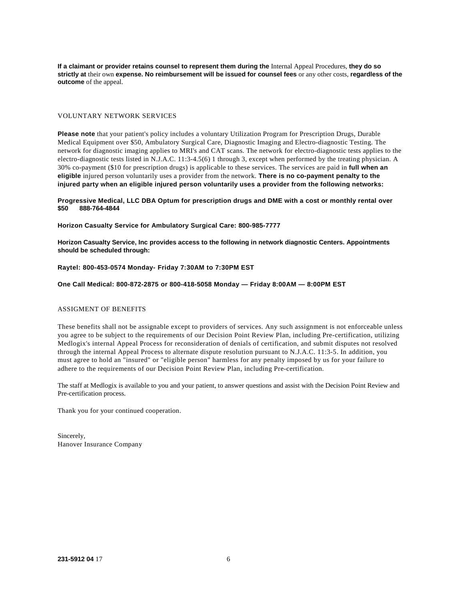**If a claimant or provider retains counsel to represent them during the** Internal Appeal Procedures, **they do so strictly at** their own **expense. No reimbursement will be issued for counsel fees** or any other costs, **regardless of the outcome** of the appeal.

#### VOLUNTARY NETWORK SERVICES

**Please note** that your patient's policy includes a voluntary Utilization Program for Prescription Drugs, Durable Medical Equipment over \$50, Ambulatory Surgical Care, Diagnostic Imaging and Electro-diagnostic Testing. The network for diagnostic imaging applies to MRI's and CAT scans. The network for electro-diagnostic tests applies to the electro-diagnostic tests listed in N.J.A.C. 11:3-4.5(6) 1 through 3, except when performed by the treating physician. A 30% co-payment (\$10 for prescription drugs) is applicable to these services. The services are paid in **full when an eligible** injured person voluntarily uses a provider from the network. **There is no co-payment penalty to the injured party when an eligible injured person voluntarily uses a provider from the following networks:**

**Progressive Medical, LLC DBA Optum for prescription drugs and DME with a cost or monthly rental over \$50 888-764-4844**

**Horizon Casualty Service for Ambulatory Surgical Care: 800-985-7777**

**Horizon Casualty Service, Inc provides access to the following in network diagnostic Centers. Appointments should be scheduled through:**

**Raytel: 800-453-0574 Monday- Friday 7:30AM to 7:30PM EST**

**One Call Medical: 800-872-2875 or 800-418-5058 Monday — Friday 8:00AM — 8:00PM EST**

## ASSIGMENT OF BENEFITS

These benefits shall not be assignable except to providers of services. Any such assignment is not enforceable unless you agree to be subject to the requirements of our Decision Point Review Plan, including Pre-certification, utilizing Medlogix's internal Appeal Process for reconsideration of denials of certification, and submit disputes not resolved through the internal Appeal Process to alternate dispute resolution pursuant to N.J.A.C. 11:3-5. In addition, you must agree to hold an "insured" or "eligible person" harmless for any penalty imposed by us for your failure to adhere to the requirements of our Decision Point Review Plan, including Pre-certification.

The staff at Medlogix is available to you and your patient, to answer questions and assist with the Decision Point Review and Pre-certification process.

Thank you for your continued cooperation.

Sincerely, Hanover Insurance Company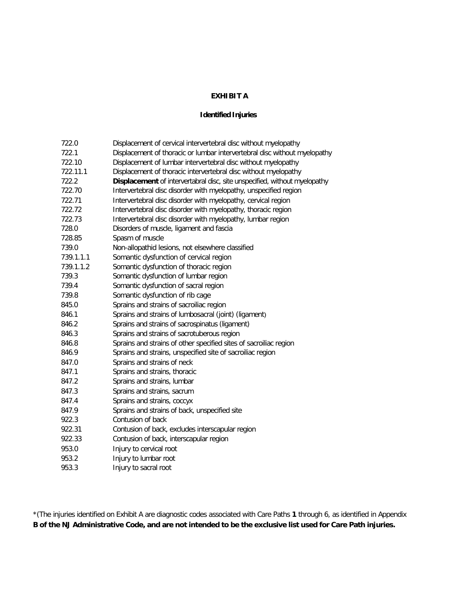# **EXHIBIT A**

# **Identified Injuries**

| 722.0     | Displacement of cervical intervertebral disc without myelopathy           |
|-----------|---------------------------------------------------------------------------|
| 722.1     | Displacement of thoracic or lumbar intervertebral disc without myelopathy |
| 722.10    | Displacement of lumbar intervertebral disc without myelopathy             |
| 722.11.1  | Displacement of thoracic intervertebral disc without myelopathy           |
| 722.2     | Displacement of intervertabral disc, site unspecified, without myelopathy |
| 722.70    | Intervertebral disc disorder with myelopathy, unspecified region          |
| 722.71    | Intervertebral disc disorder with myelopathy, cervical region             |
| 722.72    | Intervertebral disc disorder with myelopathy, thoracic region             |
| 722.73    | Intervertebral disc disorder with myelopathy, lumbar region               |
| 728.0     | Disorders of muscle, ligament and fascia                                  |
| 728.85    | Spasm of muscle                                                           |
| 739.0     | Non-allopathid lesions, not elsewhere classified                          |
| 739.1.1.1 | Somantic dysfunction of cervical region                                   |
| 739.1.1.2 | Somantic dysfunction of thoracic region                                   |
| 739.3     | Somantic dysfunction of lumbar region                                     |
| 739.4     | Somantic dysfunction of sacral region                                     |
| 739.8     | Somantic dysfunction of rib cage                                          |
| 845.0     | Sprains and strains of sacroiliac region                                  |
| 846.1     | Sprains and strains of lumbosacral (joint) (ligament)                     |
| 846.2     | Sprains and strains of sacrospinatus (ligament)                           |
| 846.3     | Sprains and strains of sacrotuberous region                               |
| 846.8     | Sprains and strains of other specified sites of sacroiliac region         |
| 846.9     | Sprains and strains, unspecified site of sacroiliac region                |
| 847.0     | Sprains and strains of neck                                               |
| 847.1     | Sprains and strains, thoracic                                             |
| 847.2     | Sprains and strains, lumbar                                               |
| 847.3     | Sprains and strains, sacrum                                               |
| 847.4     | Sprains and strains, coccyx                                               |
| 847.9     | Sprains and strains of back, unspecified site                             |
| 922.3     | Contusion of back                                                         |
| 922.31    | Contusion of back, excludes interscapular region                          |
| 922.33    | Contusion of back, interscapular region                                   |
| 953.0     | Injury to cervical root                                                   |
| 953.2     | Injury to lumbar root                                                     |
| 953.3     | Injury to sacral root                                                     |
|           |                                                                           |

\*(The injuries identified on Exhibit A are diagnostic codes associated with Care Paths **1** through 6, as identified in Appendix **B of the NJ Administrative Code, and are not intended to be the exclusive list used for Care Path injuries.**